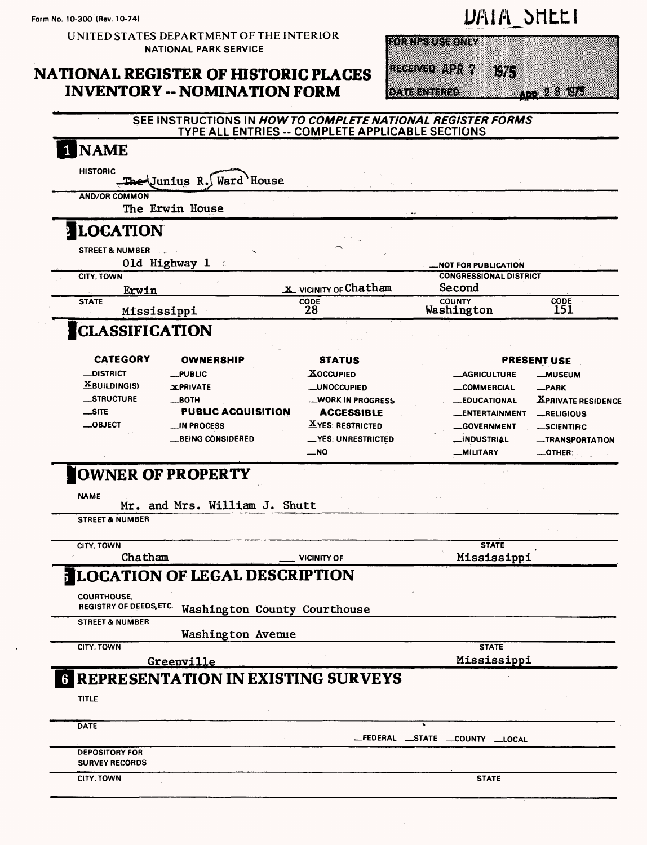**UNITED STATES DEPARTMENT OF THE INTERIOR NATIONAL PARK SERVICE**

### **NATIONAL REGISTER OF HISTORIC PLACES INVENTORY -- NOMINATION FORM**



| <b>FOR NPS USE ONLY</b> |  |     |              |  |
|-------------------------|--|-----|--------------|--|
|                         |  |     |              |  |
|                         |  |     |              |  |
|                         |  |     |              |  |
|                         |  |     |              |  |
|                         |  |     |              |  |
|                         |  |     |              |  |
|                         |  |     |              |  |
| RECEIVED APR 7          |  |     |              |  |
|                         |  | 87. |              |  |
|                         |  |     |              |  |
|                         |  |     |              |  |
|                         |  |     |              |  |
|                         |  |     |              |  |
|                         |  |     |              |  |
|                         |  |     |              |  |
|                         |  |     | ADD 2 8 1975 |  |
| <b>DATE ENTERED</b>     |  |     |              |  |
|                         |  |     |              |  |

| 1 NAME                                 |                                                      |                                                   |                                         |                               |
|----------------------------------------|------------------------------------------------------|---------------------------------------------------|-----------------------------------------|-------------------------------|
|                                        |                                                      |                                                   |                                         |                               |
| <b>HISTORIC</b>                        | The Junius R. Ward House                             |                                                   |                                         |                               |
|                                        |                                                      |                                                   |                                         |                               |
| <b>AND/OR COMMON</b>                   | The Erwin House                                      |                                                   |                                         |                               |
|                                        |                                                      |                                                   |                                         |                               |
| LOCATION                               |                                                      |                                                   |                                         |                               |
| <b>STREET &amp; NUMBER</b>             |                                                      |                                                   |                                         |                               |
|                                        | 01d Highway 1                                        |                                                   | <b>NOT FOR PUBLICATION.</b>             |                               |
| <b>CITY, TOWN</b>                      |                                                      |                                                   | <b>CONGRESSIONAL DISTRICT</b><br>Second |                               |
| Erwin<br><b>STATE</b>                  |                                                      | X VICINITY OF Chatham<br>CODE                     | <b>COUNTY</b>                           | <b>CODE</b>                   |
| Mississippi                            |                                                      | 28                                                | Washington                              | 151                           |
| <b>CLASSIFICATION</b>                  |                                                      |                                                   |                                         |                               |
|                                        |                                                      |                                                   |                                         |                               |
| <b>CATEGORY</b>                        | <b>OWNERSHIP</b>                                     | <b>STATUS</b>                                     |                                         | <b>PRESENT USE</b>            |
| _DISTRICT                              | $_{\text{L}}$ PUBLIC                                 | <b>XOCCUPIED</b>                                  | <b>_AGRICULTURE</b>                     | <b>_MUSEUM</b>                |
| $\underline{\mathbf{X}}$ BUILDING(S)   | <b>XPRIVATE</b>                                      | <b>__UNOCCUPIED</b>                               | <b>__COMMERCIAL</b>                     | -PARK                         |
| _STRUCTURE                             | $\equiv$ BOTH                                        | <b>WORK IN PROGRESS</b>                           | <b>EDUCATIONAL</b>                      | <b>XPRIVATE RESIDENCE</b>     |
| $\equiv$ SITE                          | <b>PUBLIC ACQUISITION</b>                            | <b>ACCESSIBLE</b>                                 | <b>__ENTERTAINMENT</b>                  | RELIGIOUS                     |
| $\equiv$ OBJECT                        | <b>N PROCESS</b>                                     | <b>XYES: RESTRICTED</b>                           | <b>GOVERNMENT</b>                       | <b>_SCIENTIFIC</b>            |
|                                        |                                                      |                                                   |                                         |                               |
|                                        |                                                      |                                                   |                                         |                               |
|                                        | <b>_BEING CONSIDERED</b><br><b>OWNER OF PROPERTY</b> | _VES: UNRESTRICTED<br>$\overline{\phantom{1}}$ NO | <b>__INDUSTRIAL</b><br><b>MILITARY</b>  | -TRANSPORTATION<br>__OTHER: . |
| <b>NAME</b>                            | Mr. and Mrs. William J. Shutt                        |                                                   |                                         |                               |
| <b>STREET &amp; NUMBER</b>             |                                                      |                                                   |                                         |                               |
| CITY, TOWN                             |                                                      |                                                   | <b>STATE</b>                            |                               |
| Chatham                                |                                                      | <b>VICINITY OF</b>                                | Mississippi                             |                               |
|                                        |                                                      |                                                   |                                         |                               |
|                                        | <b>JLOCATION OF LEGAL DESCRIPTION</b>                |                                                   |                                         |                               |
| COURTHOUSE,<br>REGISTRY OF DEEDS, ETC. | Washington County Courthouse                         |                                                   |                                         |                               |
| <b>STREET &amp; NUMBER</b>             |                                                      |                                                   |                                         |                               |
|                                        | Washington Avenue                                    |                                                   |                                         |                               |
| CITY, TOWN                             |                                                      |                                                   | <b>STATE</b>                            |                               |
|                                        | Greenville                                           |                                                   | Mississippi                             |                               |
|                                        | <b>6 REPRESENTATION IN EXISTING SURVEYS</b>          |                                                   |                                         |                               |
| <b>TITLE</b>                           |                                                      |                                                   |                                         |                               |
| DATE                                   |                                                      |                                                   |                                         |                               |
| <b>DEPOSITORY FOR</b>                  |                                                      |                                                   | _FEDERAL _STATE _COUNTY __LOCAL         |                               |
| <b>SURVEY RECORDS</b>                  |                                                      |                                                   |                                         |                               |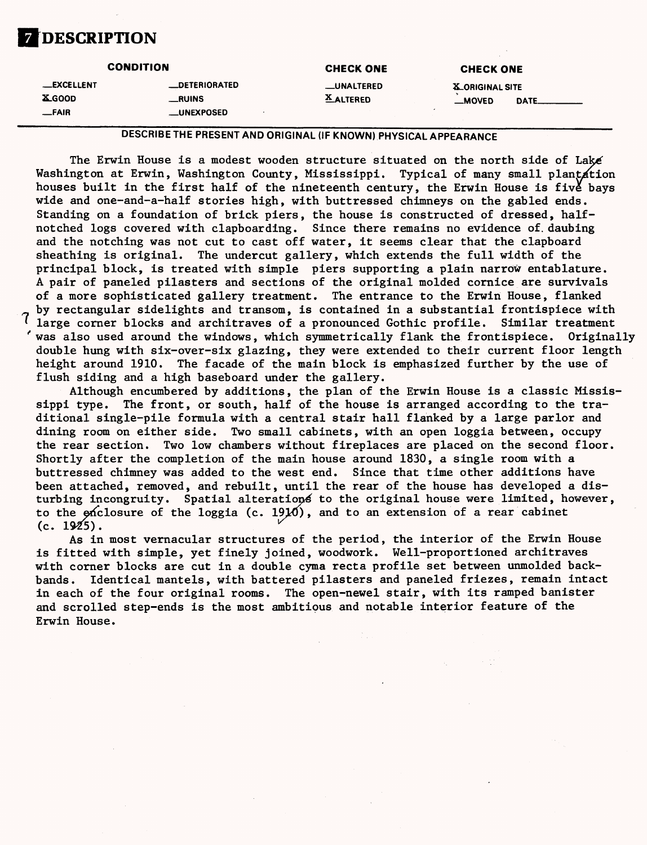

|                                    | <b>CONDITION</b>             | <b>CHECK ONE</b>                      | <b>CHECK ONE</b>                           |  |
|------------------------------------|------------------------------|---------------------------------------|--------------------------------------------|--|
| <b>__EXCELLENT</b><br><b>XGOOD</b> | <b>_DETERIORATED</b><br>RUNS | <b>__UNALTERED</b><br><b>XALTERED</b> | <b>X_ORIGINAL SITE</b><br>$M$ OVED<br>DATE |  |
| $-FAIR$                            | __UNEXPOSED                  |                                       |                                            |  |

DESCRIBE THE PRESENT AND ORIGINAL (IF KNOWN) PHYSICAL APPEARANCE

The Erwin House is a modest wooden structure situated on the north side of Lake' Washington at Erwin, Washington County, Mississippi. Typical of many small plantation houses built in the first half of the nineteenth century, the Erwin House is five bays wide and one-and-a-half stories high, with buttressed chimneys on the gabled ends. Standing on a foundation of brick piers, the house is constructed of dressed, halfnotched logs covered with clapboarding. Since there remains no evidence of. daubing and the notching was not cut to cast off water, it seems clear that the clapboard sheathing is original. The undercut gallery, which extends the full width of the principal block, is treated with simple piers supporting a plain narrow entablature. A pair of paneled pilasters and sections of the original molded cornice are survivals of a more sophisticated gallery treatment. The entrance to the Erwin House, flanked by rectangular sidelights and transom, is contained in a substantial frontispiece with large corner blocks and architraves of a pronounced Gothic profile. Similar treatment 'was also used around the windows, which symmetrically flank the frontispiece. Originally double hung with six-over-six glazing, they were extended to their current floor length height around 1910. The facade of the main block is emphasized further by the use of flush siding and a high baseboard under the gallery.

Although encumbered by additions, the plan of the Erwin House is a classic Mississippi type. The front, or south, half of the house is arranged according to the traditional single-pile formula with a central stair hall flanked by a large parlor and dining room on either side. Two small cabinets, with an open loggia between, occupy the rear section. Two low chambers without fireplaces are placed on the second floor. Shortly after the completion of the main house around 1830, a single room with a buttressed chimney was added to the west end. Since that time other additions have been attached, removed, and rebuilt, until the rear of the house has developed a disturbing incongruity. Spatial alterations to the original house were limited, however, to the  $\epsilon$  closure of the loggia (c. 19 $\mu$ 0), and to an extension of a rear cabinet (c. 1925).

As in most vernacular structures of the period, the interior of the Erwin House is fitted with simple, yet finely joined, woodwork. Well-proportioned architraves with corner blocks are cut in a double cyma recta profile set between unmolded backbands. Identical mantels, with battered pilasters and paneled friezes, remain intact in each of the four original rooms. The open-newel stair, with its ramped banister and scrolled step-ends is the most ambitious and notable interior feature of the Erwin House.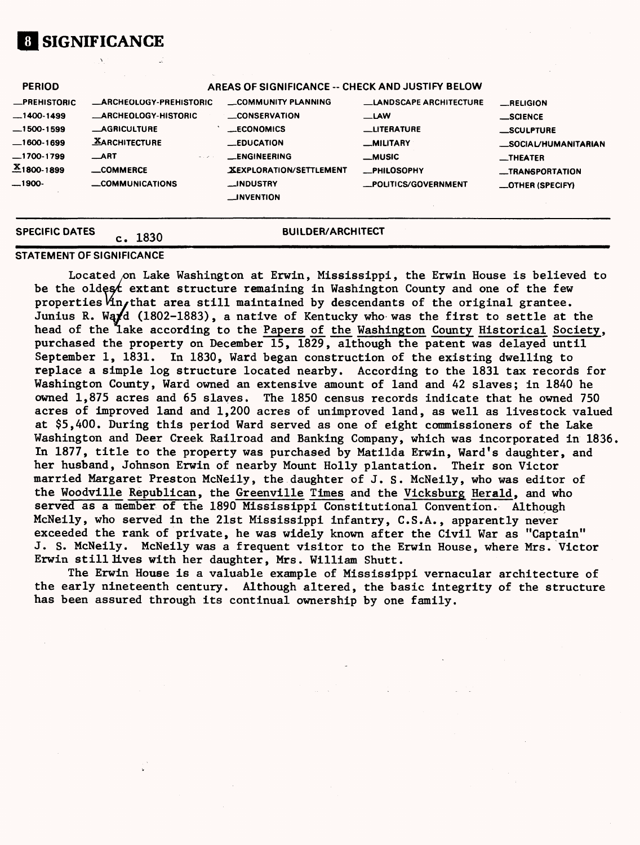# **1 SIGNIFICANCE**

| <b>SPECIFIC DATES</b> |                                 | <b>BUILDER/ARCHITECT</b>                         |                               |                                  |
|-----------------------|---------------------------------|--------------------------------------------------|-------------------------------|----------------------------------|
| —1900-                | <b>COMMUNICATIONS</b>           | __INDUSTRY<br><b>__INVENTION</b>                 | _POLITICS/GOVERNMENT          | <b>_OTHER (SPECIFY)</b>          |
| $X_{1800-1899}$       | <b>COMMERCE</b>                 | XEXPLORATION/SETTLEMENT                          | <b>_PHILOSOPHY</b>            | -TRANSPORTATION                  |
| $-1700-1799$          | $\_$ ART<br>$\alpha$ , $\alpha$ | <b>__ENGINEERING</b>                             | <b>_MUSIC</b>                 | $\overline{\phantom{a}}$ THEATER |
| $-1600-1699$          | <b>XARCHITECTURE</b>            | <b>__EDUCATION</b>                               | <b>MILITARY</b>               | <b>SOCIAL/HUMANITARIAN</b>       |
| $-1500-1599$          | <b>__AGRICULTURE</b>            | <b>ECONOMICS</b>                                 | <b>LLITERATURE</b>            | <b>SCULPTURE</b>                 |
| $-1400-1499$          | <b>ARCHEOLOGY-HISTORIC</b>      | <b>__CONSERVATION</b>                            | $\equiv$ LAW                  | $\_$ SCIENCE                     |
| <b>_PREHISTORIC</b>   | <b>ARCHEOLOGY-PREHISTORIC</b>   | <b>COMMUNITY PLANNING</b>                        | <b>LANDSCAPE ARCHITECTURE</b> | RELIGION                         |
| <b>PERIOD</b>         |                                 | AREAS OF SIGNIFICANCE -- CHECK AND JUSTIFY BELOW |                               |                                  |

#### **STATEMENT OF SIGNIFICANCE**

Located on Lake Washington at Erwin, Mississippi, the Erwin House is believed to be the oldes $f$  extant structure remaining in Washington County and one of the few properties  $\forall$ n, that area still maintained by descendants of the original grantee. Junius R. Wayd (1802-1883), a native of Kentucky who was the first to settle at the head of the lake according to the Papers of the Washington County Historical Society, purchased the property on December 15, 1829, although the patent was delayed until September 1, 1831. In 1830, Ward began construction of the existing dwelling to replace a simple log structure located nearby. According to the 1831 tax records for Washington County, Ward owned an extensive amount of land and 42 slaves; in 1840 he owned 1,875 acres and 65 slaves. The 1850 census records indicate that he owned 750 acres of improved land and 1,200 acres of unimproved land, as well as livestock valued at \$5,400. During this period Ward served as one of eight commissioners of the Lake Washington and Deer Creek Railroad and Banking Company, which was incorporated in 1836, In 1877, title to the property was purchased by Matilda Erwin, Ward's daughter, and her husband, Johnson Erwin of nearby Mount Holly plantation. Their son Victor married Margaret Preston McNeily, the daughter of J. S. McNeily, who was editor of the Woodville Republican, the Greenville Times and the Vicksburg Herald, and who served as a member of the 1890 Mississippi Constitutional Convention. Although McNeily, who served in the 21st Mississippi infantry, C.S.A., apparently never exceeded the rank of private, he was widely known after the Civil War as "Captain" J. S. McNeily. McNeily was a frequent visitor to the Erwin House, where Mrs. Victor Erwin still lives with her daughter, Mrs. William Shutt.

The Erwin House is a valuable example of Mississippi vernacular architecture of the early nineteenth century. Although altered, the basic integrity of the structure has been assured through its continual ownership by one family.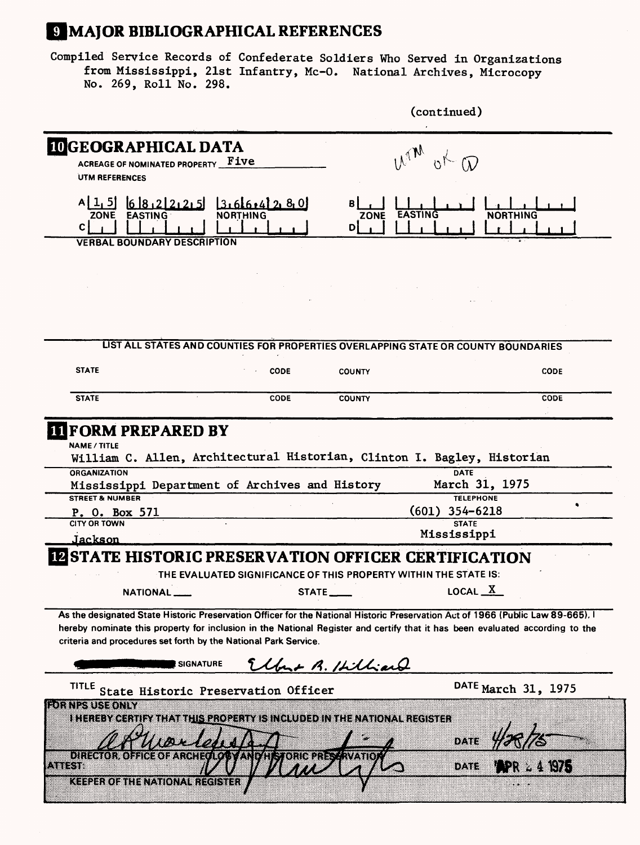## **MAJOR BIBLIOGRAPHICAL REFERENCES**

Compiled Service Records of Confederate Soldiers Who Served in Organizations from Mississippi, 21st Infantry, Mc-0. National Archives, Microcopy No. 269, Roll No. 298.

|                                                                                                                                                                                                                                                                                                                                                     |                                                                                    |                    | (continued)                                       |                     |
|-----------------------------------------------------------------------------------------------------------------------------------------------------------------------------------------------------------------------------------------------------------------------------------------------------------------------------------------------------|------------------------------------------------------------------------------------|--------------------|---------------------------------------------------|---------------------|
| <b>IDGEOGRAPHICAL DATA</b><br>ACREAGE OF NOMINATED PROPERTY Five<br>UTM REFERENCES                                                                                                                                                                                                                                                                  |                                                                                    | Una                |                                                   |                     |
| $A[1, 5]$ 68.22225 3.66.42 2.80<br><b>EASTING</b><br>ZONE<br>$\mathbf{c}$<br><b>VERBAL BOUNDARY DESCRIPTION</b>                                                                                                                                                                                                                                     |                                                                                    | ZONE<br>D          | <b>EASTING</b>                                    | NORTHING            |
|                                                                                                                                                                                                                                                                                                                                                     |                                                                                    |                    |                                                   |                     |
|                                                                                                                                                                                                                                                                                                                                                     |                                                                                    |                    |                                                   |                     |
|                                                                                                                                                                                                                                                                                                                                                     |                                                                                    |                    |                                                   |                     |
|                                                                                                                                                                                                                                                                                                                                                     | LIST ALL STATES AND COUNTIES FOR PROPERTIES OVERLAPPING STATE OR COUNTY BOUNDARIES |                    |                                                   |                     |
| <b>STATE</b>                                                                                                                                                                                                                                                                                                                                        | <b>CODE</b>                                                                        | <b>COUNTY</b>      |                                                   | <b>CODE</b>         |
| <b>STATE</b>                                                                                                                                                                                                                                                                                                                                        | CODE                                                                               | <b>COUNTY</b>      |                                                   | <b>CODE</b>         |
| <b>NAME / TITLE</b>                                                                                                                                                                                                                                                                                                                                 | William C. Allen, Architectural Historian, Clinton I. Bagley, Historian            |                    |                                                   |                     |
| <b>ORGANIZATION</b><br><b>STREET &amp; NUMBER</b>                                                                                                                                                                                                                                                                                                   | Mississippi Department of Archives and History                                     |                    | <b>DATE</b><br>March 31, 1975<br><b>TELEPHONE</b> |                     |
| P. O. Box 571<br><b>CITY OR TOWN</b>                                                                                                                                                                                                                                                                                                                |                                                                                    |                    | $(601)$ 354-6218<br><b>STATE</b>                  |                     |
| Jackson                                                                                                                                                                                                                                                                                                                                             |                                                                                    |                    | Mississippi                                       |                     |
|                                                                                                                                                                                                                                                                                                                                                     | <b>STATE HISTORIC PRESERVATION OFFICER CERTIFICATION</b>                           |                    |                                                   |                     |
|                                                                                                                                                                                                                                                                                                                                                     | THE EVALUATED SIGNIFICANCE OF THIS PROPERTY WITHIN THE STATE IS:                   |                    |                                                   |                     |
| NATIONAL_                                                                                                                                                                                                                                                                                                                                           |                                                                                    | STATE              | LOCAL $X$                                         |                     |
|                                                                                                                                                                                                                                                                                                                                                     |                                                                                    |                    |                                                   |                     |
|                                                                                                                                                                                                                                                                                                                                                     | <b>SIGNATURE</b>                                                                   | Elbert B. Hilliand |                                                   |                     |
| TITLE                                                                                                                                                                                                                                                                                                                                               | State Historic Preservation Officer                                                |                    |                                                   | DATE March 31, 1975 |
| As the designated State Historic Preservation Officer for the National Historic Preservation Act of 1966 (Public Law 89-665). I<br>hereby nominate this property for inclusion in the National Register and certify that it has been evaluated according to the<br>criteria and procedures set forth by the National Park Service.<br>rohnesuseoniy | I HEREBY CERTIFY THAT THIS PROPERTY IS INCLUDED IN THE NATIONAL REGISTER           |                    |                                                   |                     |
|                                                                                                                                                                                                                                                                                                                                                     |                                                                                    |                    | DATE                                              |                     |
| DI:IZO4K8I:XX8I;<br><b>ATTEST:</b>                                                                                                                                                                                                                                                                                                                  | ARHEIG AV ANDER FRUIT UNDER SAMAND                                                 |                    | 02363                                             |                     |